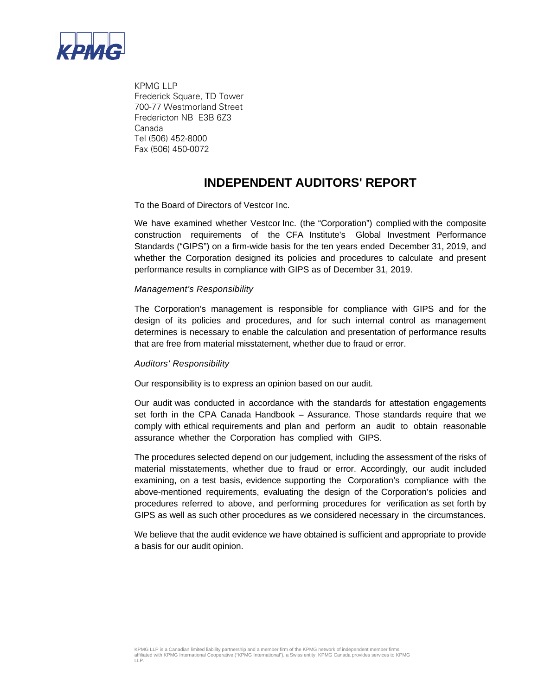

KPMG LLP Frederick Square, TD Tower 700-77 Westmorland Street Fredericton NB E3B 6Z3 Canada Tel (506) 452-8000 Fax (506) 450-0072

## **INDEPENDENT AUDITORS' REPORT**

To the Board of Directors of Vestcor Inc.

We have examined whether Vestcor Inc. (the "Corporation") complied with the composite construction requirements of the CFA Institute's Global Investment Performance Standards ("GIPS") on a firm-wide basis for the ten years ended December 31, 2019, and whether the Corporation designed its policies and procedures to calculate and present performance results in compliance with GIPS as of December 31, 2019.

## *Management's Responsibility*

The Corporation's management is responsible for compliance with GIPS and for the design of its policies and procedures, and for such internal control as management determines is necessary to enable the calculation and presentation of performance results that are free from material misstatement, whether due to fraud or error.

## *Auditors' Responsibility*

Our responsibility is to express an opinion based on our audit.

Our audit was conducted in accordance with the standards for attestation engagements set forth in the CPA Canada Handbook – Assurance. Those standards require that we comply with ethical requirements and plan and perform an audit to obtain reasonable assurance whether the Corporation has complied with GIPS.

The procedures selected depend on our judgement, including the assessment of the risks of material misstatements, whether due to fraud or error. Accordingly, our audit included examining, on a test basis, evidence supporting the Corporation's compliance with the above-mentioned requirements, evaluating the design of the Corporation's policies and procedures referred to above, and performing procedures for verification as set forth by GIPS as well as such other procedures as we considered necessary in the circumstances.

We believe that the audit evidence we have obtained is sufficient and appropriate to provide a basis for our audit opinion.